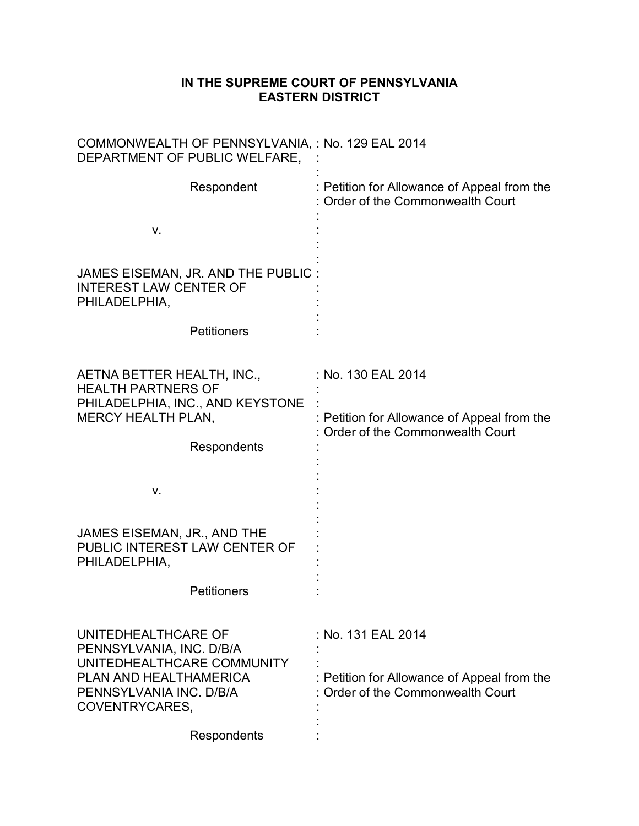## **IN THE SUPREME COURT OF PENNSYLVANIA EASTERN DISTRICT**

| COMMONWEALTH OF PENNSYLVANIA, : No. 129 EAL 2014<br>DEPARTMENT OF PUBLIC WELFARE,                       |                                                                                |
|---------------------------------------------------------------------------------------------------------|--------------------------------------------------------------------------------|
| Respondent                                                                                              | : Petition for Allowance of Appeal from the<br>Order of the Commonwealth Court |
| V.                                                                                                      |                                                                                |
| JAMES EISEMAN, JR. AND THE PUBLIC<br><b>INTEREST LAW CENTER OF</b><br>PHILADELPHIA,                     |                                                                                |
| <b>Petitioners</b>                                                                                      |                                                                                |
| AETNA BETTER HEALTH, INC.,<br><b>HEALTH PARTNERS OF</b>                                                 | : No. 130 EAL 2014                                                             |
| PHILADELPHIA, INC., AND KEYSTONE<br><b>MERCY HEALTH PLAN,</b>                                           | Petition for Allowance of Appeal from the<br>Order of the Commonwealth Court   |
| Respondents                                                                                             |                                                                                |
| V.                                                                                                      |                                                                                |
| JAMES EISEMAN, JR., AND THE<br>PUBLIC INTEREST LAW CENTER OF<br>PHILADELPHIA,                           |                                                                                |
| <b>Petitioners</b>                                                                                      |                                                                                |
| UNITEDHEALTHCARE OF<br>PENNSYLVANIA, INC. D/B/A<br>UNITEDHEALTHCARE COMMUNITY<br>PLAN AND HEALTHAMERICA | : No. 131 EAL 2014<br>: Petition for Allowance of Appeal from the              |
| PENNSYLVANIA INC. D/B/A<br>COVENTRYCARES,                                                               | : Order of the Commonwealth Court                                              |
| Respondents                                                                                             |                                                                                |